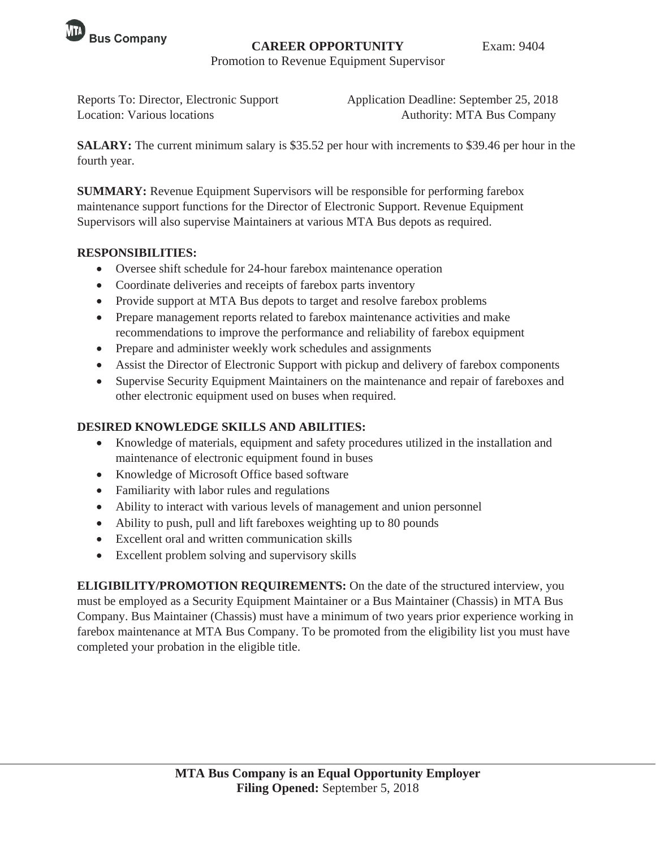

## **CAREER OPPORTUNITY** Exam: 9404

Promotion to Revenue Equipment Supervisor

Reports To: Director, Electronic Support Application Deadline: September 25, 2018 Location: Various locations **Authority: MTA Bus Company** 

**SALARY:** The current minimum salary is \$35.52 per hour with increments to \$39.46 per hour in the fourth year.

**SUMMARY:** Revenue Equipment Supervisors will be responsible for performing farebox maintenance support functions for the Director of Electronic Support. Revenue Equipment Supervisors will also supervise Maintainers at various MTA Bus depots as required.

### **RESPONSIBILITIES:**

- Oversee shift schedule for 24-hour farebox maintenance operation
- Coordinate deliveries and receipts of farebox parts inventory
- Provide support at MTA Bus depots to target and resolve farebox problems
- Prepare management reports related to farebox maintenance activities and make recommendations to improve the performance and reliability of farebox equipment
- Prepare and administer weekly work schedules and assignments
- Assist the Director of Electronic Support with pickup and delivery of farebox components
- Supervise Security Equipment Maintainers on the maintenance and repair of fareboxes and other electronic equipment used on buses when required.

# **DESIRED KNOWLEDGE SKILLS AND ABILITIES:**

- Knowledge of materials, equipment and safety procedures utilized in the installation and maintenance of electronic equipment found in buses
- Knowledge of Microsoft Office based software
- $\bullet$  Familiarity with labor rules and regulations
- Ability to interact with various levels of management and union personnel
- Ability to push, pull and lift fareboxes weighting up to 80 pounds
- Excellent oral and written communication skills
- Excellent problem solving and supervisory skills

**ELIGIBILITY/PROMOTION REQUIREMENTS:** On the date of the structured interview, you must be employed as a Security Equipment Maintainer or a Bus Maintainer (Chassis) in MTA Bus Company. Bus Maintainer (Chassis) must have a minimum of two years prior experience working in farebox maintenance at MTA Bus Company. To be promoted from the eligibility list you must have completed your probation in the eligible title.